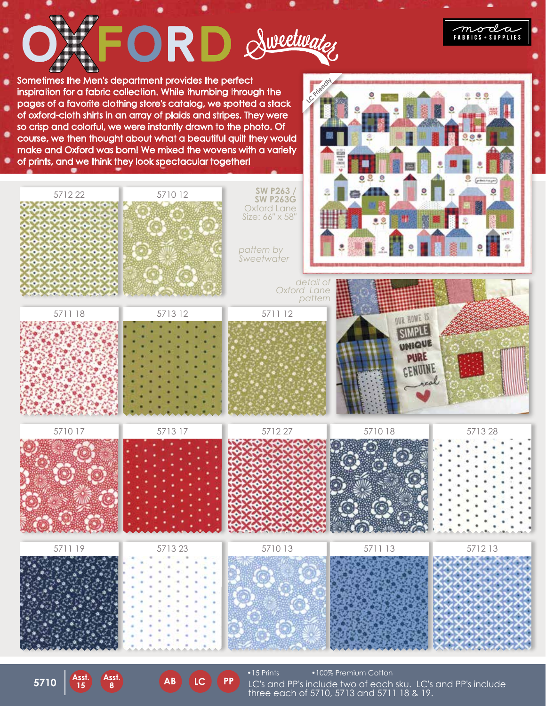

**AB LC PP**

**5710 Asst.**

**15**

**8 AB** LC **FF** LC's and PP's include two of each sku. LC's and PP's include three each of 5710, 5713 and 5711 18 & 19.